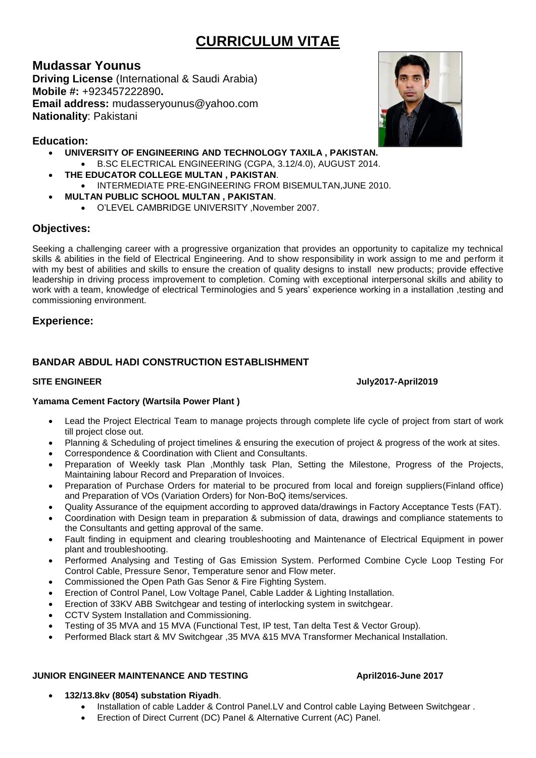# **CURRICULUM VITAE**

## **Mudassar Younus**

**Driving License** (International & Saudi Arabia) **Mobile #:** +923457222890**. Email address:** mudasseryounus@yahoo.com **Nationality**: Pakistani

## **Education:**

- **UNIVERSITY OF ENGINEERING AND TECHNOLOGY TAXILA , PAKISTAN.**
	- B.SC ELECTRICAL ENGINEERING (CGPA, 3.12/4.0), AUGUST 2014.
- **THE EDUCATOR COLLEGE MULTAN , PAKISTAN**.
- INTERMEDIATE PRE-ENGINEERING FROM BISEMULTAN,JUNE 2010.
- **MULTAN PUBLIC SCHOOL MULTAN , PAKISTAN**.
	- O'LEVEL CAMBRIDGE UNIVERSITY ,November 2007.

## **Objectives:**

Seeking a challenging career with a progressive organization that provides an opportunity to capitalize my technical skills & abilities in the field of Electrical Engineering. And to show responsibility in work assign to me and perform it with my best of abilities and skills to ensure the creation of quality designs to install new products; provide effective leadership in driving process improvement to completion. Coming with exceptional interpersonal skills and ability to work with a team, knowledge of electrical Terminologies and 5 years' experience working in a installation ,testing and commissioning environment.

## **Experience:**

## **BANDAR ABDUL HADI CONSTRUCTION ESTABLISHMENT**

**SITE ENGINEER July2017-April2019**

## **Yamama Cement Factory (Wartsila Power Plant )**

- Lead the Project Electrical Team to manage projects through complete life cycle of project from start of work till project close out.
- Planning & Scheduling of project timelines & ensuring the execution of project & progress of the work at sites.
- Correspondence & Coordination with Client and Consultants.
- Preparation of Weekly task Plan ,Monthly task Plan, Setting the Milestone, Progress of the Projects, Maintaining labour Record and Preparation of Invoices.
- Preparation of Purchase Orders for material to be procured from local and foreign suppliers(Finland office) and Preparation of VOs (Variation Orders) for Non-BoQ items/services.
- Quality Assurance of the equipment according to approved data/drawings in Factory Acceptance Tests (FAT).
- Coordination with Design team in preparation & submission of data, drawings and compliance statements to the Consultants and getting approval of the same.
- Fault finding in equipment and clearing troubleshooting and Maintenance of Electrical Equipment in power plant and troubleshooting.
- Performed Analysing and Testing of Gas Emission System. Performed Combine Cycle Loop Testing For Control Cable, Pressure Senor, Temperature senor and Flow meter.
- Commissioned the Open Path Gas Senor & Fire Fighting System.
- Erection of Control Panel, Low Voltage Panel, Cable Ladder & Lighting Installation.
- Erection of 33KV ABB Switchgear and testing of interlocking system in switchgear.
- CCTV System Installation and Commissioning.
- Testing of 35 MVA and 15 MVA (Functional Test, IP test, Tan delta Test & Vector Group).
- Performed Black start & MV Switchgear ,35 MVA &15 MVA Transformer Mechanical Installation.

### **JUNIOR ENGINEER MAINTENANCE AND TESTING APRIL2016-June 2017**

- **132/13.8kv (8054) substation Riyadh**.
	- Installation of cable Ladder & Control Panel.LV and Control cable Laying Between Switchgear .
	- Erection of Direct Current (DC) Panel & Alternative Current (AC) Panel.

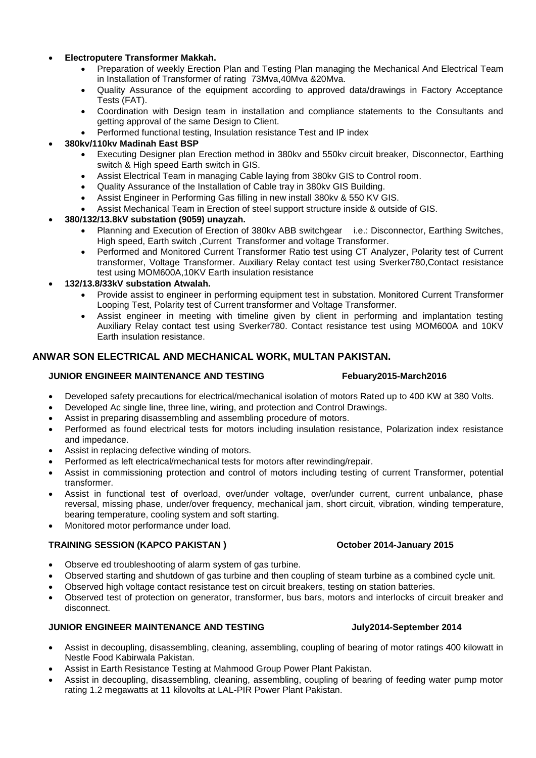#### • **Electroputere Transformer Makkah.**

- Preparation of weekly Erection Plan and Testing Plan managing the Mechanical And Electrical Team in Installation of Transformer of rating 73Mva,40Mva &20Mva.
- Quality Assurance of the equipment according to approved data/drawings in Factory Acceptance Tests (FAT).
- Coordination with Design team in installation and compliance statements to the Consultants and getting approval of the same Design to Client.
- Performed functional testing, Insulation resistance Test and IP index

### • **380kv/110kv Madinah East BSP**

- Executing Designer plan Erection method in 380kv and 550kv circuit breaker, Disconnector, Earthing switch & High speed Earth switch in GIS.
- Assist Electrical Team in managing Cable laying from 380kv GIS to Control room.
- Quality Assurance of the Installation of Cable tray in 380kv GIS Building.
- Assist Engineer in Performing Gas filling in new install 380kv & 550 KV GIS.
- Assist Mechanical Team in Erection of steel support structure inside & outside of GIS.

#### • **380/132/13.8kV substation (9059) unayzah.**

- Planning and Execution of Erection of 380kv ABB switchgear i.e.: Disconnector, Earthing Switches, High speed, Earth switch ,Current Transformer and voltage Transformer.
- Performed and Monitored Current Transformer Ratio test using CT Analyzer, Polarity test of Current transformer, Voltage Transformer. Auxiliary Relay contact test using Sverker780,Contact resistance test using MOM600A,10KV Earth insulation resistance

#### • **132/13.8/33kV substation Atwalah.**

- Provide assist to engineer in performing equipment test in substation. Monitored Current Transformer Looping Test, Polarity test of Current transformer and Voltage Transformer.
- Assist engineer in meeting with timeline given by client in performing and implantation testing Auxiliary Relay contact test using Sverker780. Contact resistance test using MOM600A and 10KV Earth insulation resistance.

### **ANWAR SON ELECTRICAL AND MECHANICAL WORK, MULTAN PAKISTAN.**

#### **JUNIOR ENGINEER MAINTENANCE AND TESTING FEBUARY2015-March2016**

- Developed safety precautions for electrical/mechanical isolation of motors Rated up to 400 KW at 380 Volts.
- Developed Ac single line, three line, wiring, and protection and Control Drawings.
- Assist in preparing disassembling and assembling procedure of motors.
- Performed as found electrical tests for motors including insulation resistance, Polarization index resistance and impedance.
- Assist in replacing defective winding of motors.
- Performed as left electrical/mechanical tests for motors after rewinding/repair.
- Assist in commissioning protection and control of motors including testing of current Transformer, potential transformer.
- Assist in functional test of overload, over/under voltage, over/under current, current unbalance, phase reversal, missing phase, under/over frequency, mechanical jam, short circuit, vibration, winding temperature, bearing temperature, cooling system and soft starting.
- Monitored motor performance under load.

#### **TRAINING SESSION (KAPCO PAKISTAN ) October 2014-January 2015**

- Observe ed troubleshooting of alarm system of gas turbine.
- Observed starting and shutdown of gas turbine and then coupling of steam turbine as a combined cycle unit.
- Observed high voltage contact resistance test on circuit breakers, testing on station batteries.
- Observed test of protection on generator, transformer, bus bars, motors and interlocks of circuit breaker and disconnect.

### **JUNIOR ENGINEER MAINTENANCE AND TESTING July2014-September 2014**

- Assist in decoupling, disassembling, cleaning, assembling, coupling of bearing of motor ratings 400 kilowatt in Nestle Food Kabirwala Pakistan.
- Assist in Earth Resistance Testing at Mahmood Group Power Plant Pakistan.
- Assist in decoupling, disassembling, cleaning, assembling, coupling of bearing of feeding water pump motor rating 1.2 megawatts at 11 kilovolts at LAL-PIR Power Plant Pakistan.